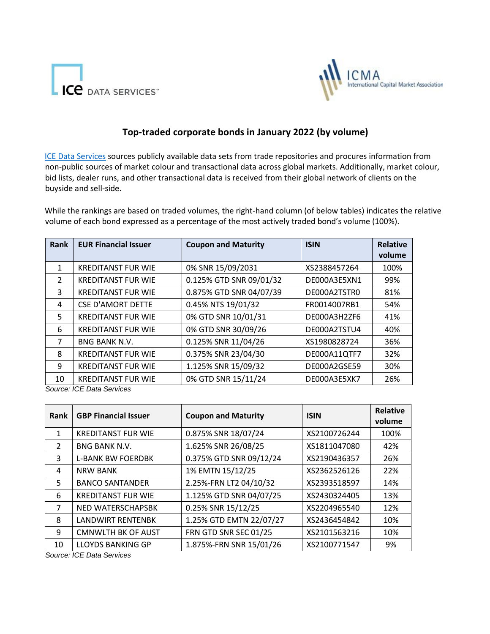



## **Top-traded corporate bonds in January 2022 (by volume)**

[ICE Data Services](https://www.theice.com/market-data) [s](https://www.theice.com/market-data)ources publicly available data sets from trade repositories and procures information from non-public sources of market colour and transactional data across global markets. Additionally, market colour, bid lists, dealer runs, and other transactional data is received from their global network of clients on the buyside and sell-side.

While the rankings are based on traded volumes, the right-hand column (of below tables) indicates the relative volume of each bond expressed as a percentage of the most actively traded bond's volume (100%).

| Rank          | <b>EUR Financial Issuer</b> | <b>Coupon and Maturity</b> | <b>ISIN</b>  | <b>Relative</b><br>volume |
|---------------|-----------------------------|----------------------------|--------------|---------------------------|
| 1             | <b>KREDITANST FUR WIE</b>   | 0% SNR 15/09/2031          | XS2388457264 | 100%                      |
| $\mathcal{P}$ | <b>KREDITANST FUR WIE</b>   | 0.125% GTD SNR 09/01/32    | DE000A3E5XN1 | 99%                       |
| 3             | <b>KREDITANST FUR WIE</b>   | 0.875% GTD SNR 04/07/39    | DE000A2TSTR0 | 81%                       |
| 4             | <b>CSE D'AMORT DETTE</b>    | 0.45% NTS 19/01/32         | FR0014007RB1 | 54%                       |
| 5             | <b>KREDITANST FUR WIE</b>   | 0% GTD SNR 10/01/31        | DE000A3H2ZF6 | 41%                       |
| 6             | <b>KREDITANST FUR WIE</b>   | 0% GTD SNR 30/09/26        | DE000A2TSTU4 | 40%                       |
| 7             | <b>BNG BANK N.V.</b>        | 0.125% SNR 11/04/26        | XS1980828724 | 36%                       |
| 8             | <b>KREDITANST FUR WIE</b>   | 0.375% SNR 23/04/30        | DE000A11QTF7 | 32%                       |
| 9             | <b>KREDITANST FUR WIE</b>   | 1.125% SNR 15/09/32        | DE000A2GSE59 | 30%                       |
| 10            | <b>KREDITANST FUR WIE</b>   | 0% GTD SNR 15/11/24        | DE000A3E5XK7 | 26%                       |

*Source: ICE Data Services*

| Rank          | <b>GBP Financial Issuer</b> | <b>Coupon and Maturity</b> | <b>ISIN</b>  | <b>Relative</b><br>volume |
|---------------|-----------------------------|----------------------------|--------------|---------------------------|
| 1             | <b>KREDITANST FUR WIE</b>   | 0.875% SNR 18/07/24        | XS2100726244 | 100%                      |
| $\mathcal{L}$ | <b>BNG BANK N.V.</b>        | 1.625% SNR 26/08/25        | XS1811047080 | 42%                       |
| 3             | <b>L-BANK BW FOERDBK</b>    | 0.375% GTD SNR 09/12/24    | XS2190436357 | 26%                       |
| 4             | <b>NRW BANK</b>             | 1% EMTN 15/12/25           | XS2362526126 | 22%                       |
| 5             | <b>BANCO SANTANDER</b>      | 2.25%-FRN LT2 04/10/32     | XS2393518597 | 14%                       |
| 6             | <b>KREDITANST FUR WIE</b>   | 1.125% GTD SNR 04/07/25    | XS2430324405 | 13%                       |
| 7             | NED WATERSCHAPSBK           | 0.25% SNR 15/12/25         | XS2204965540 | 12%                       |
| 8             | <b>LANDWIRT RENTENBK</b>    | 1.25% GTD EMTN 22/07/27    | XS2436454842 | 10%                       |
| 9             | <b>CMNWLTH BK OF AUST</b>   | FRN GTD SNR SEC 01/25      | XS2101563216 | 10%                       |
| 10            | <b>LLOYDS BANKING GP</b>    | 1.875%-FRN SNR 15/01/26    | XS2100771547 | 9%                        |

*Source: ICE Data Services*